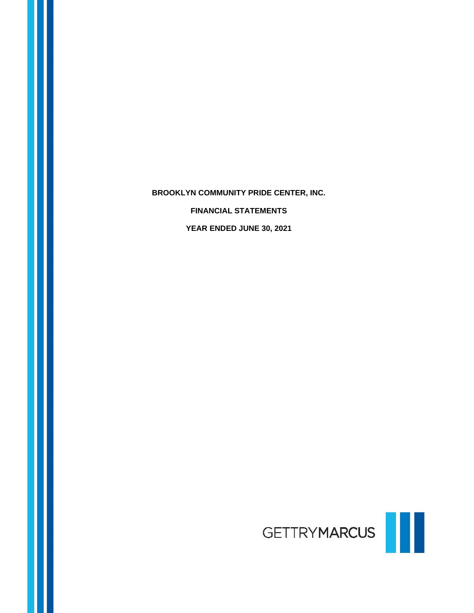**BROOKLYN COMMUNITY PRIDE CENTER, INC.**

**Proposal to Provide FINANCIAL STATEMENTS**

**Auditing and Tax Services for YEAR ENDED JUNE 30, 2021**

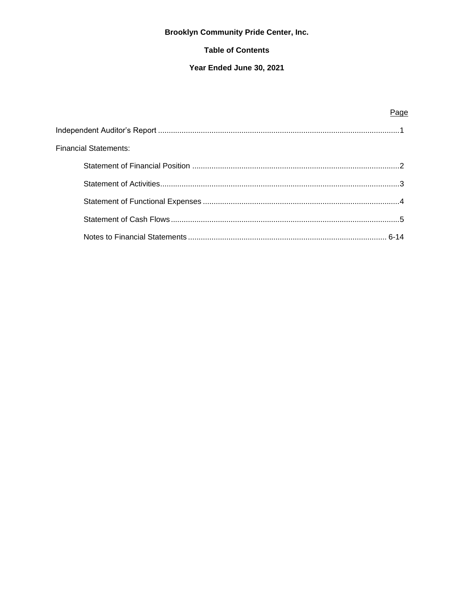# **Brooklyn Community Pride Center, Inc.**

## **Table of Contents**

## Year Ended June 30, 2021

| Financial Statements: |  |
|-----------------------|--|
|                       |  |
|                       |  |
|                       |  |
|                       |  |
|                       |  |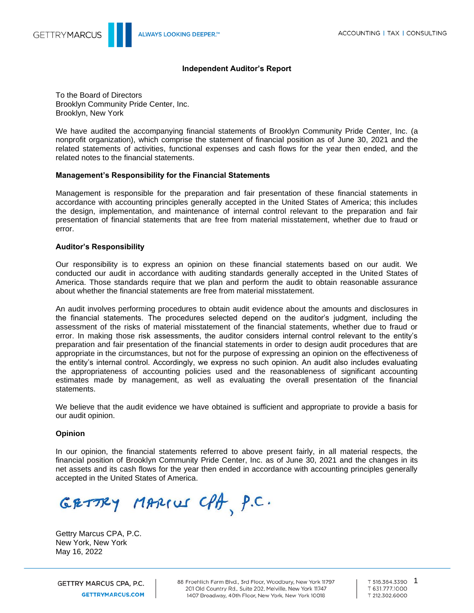

## **Independent Auditor's Report**

To the Board of Directors Brooklyn Community Pride Center, Inc. Brooklyn, New York

We have audited the accompanying financial statements of Brooklyn Community Pride Center, Inc. (a nonprofit organization), which comprise the statement of financial position as of June 30, 2021 and the related statements of activities, functional expenses and cash flows for the year then ended, and the related notes to the financial statements.

## **Management's Responsibility for the Financial Statements**

Management is responsible for the preparation and fair presentation of these financial statements in accordance with accounting principles generally accepted in the United States of America; this includes the design, implementation, and maintenance of internal control relevant to the preparation and fair presentation of financial statements that are free from material misstatement, whether due to fraud or error.

#### **Auditor's Responsibility**

Our responsibility is to express an opinion on these financial statements based on our audit. We conducted our audit in accordance with auditing standards generally accepted in the United States of America. Those standards require that we plan and perform the audit to obtain reasonable assurance about whether the financial statements are free from material misstatement.

An audit involves performing procedures to obtain audit evidence about the amounts and disclosures in the financial statements. The procedures selected depend on the auditor's judgment, including the assessment of the risks of material misstatement of the financial statements, whether due to fraud or error. In making those risk assessments, the auditor considers internal control relevant to the entity's preparation and fair presentation of the financial statements in order to design audit procedures that are appropriate in the circumstances, but not for the purpose of expressing an opinion on the effectiveness of the entity's internal control. Accordingly, we express no such opinion. An audit also includes evaluating the appropriateness of accounting policies used and the reasonableness of significant accounting estimates made by management, as well as evaluating the overall presentation of the financial statements.

We believe that the audit evidence we have obtained is sufficient and appropriate to provide a basis for our audit opinion.

#### **Opinion**

In our opinion, the financial statements referred to above present fairly, in all material respects, the financial position of Brooklyn Community Pride Center, Inc. as of June 30, 2021 and the changes in its net assets and its cash flows for the year then ended in accordance with accounting principles generally accepted in the United States of America.

GETTRY MARIUS CPA, P.C.

Gettry Marcus CPA, P.C. New York, New York May 16, 2022

GETTRY MARCUS CPA, P.C. **GETTRYMARCUS.COM** 

88 Froehlich Farm Blvd., 3rd Floor, Woodbury, New York 11797 201 Old Country Rd., Suite 202, Melville, New York 11747 1407 Broadway, 40th Floor, New York, New York 10018

T 516.364.3390 1 T 631.777.1000 T 212.302.6000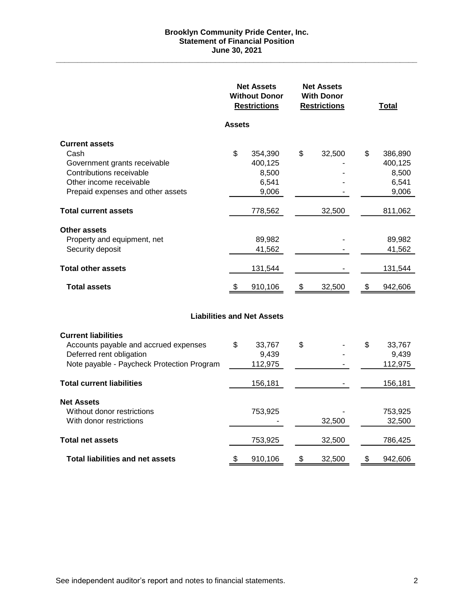|                                                                                                                                                           |               | <b>Net Assets</b><br><b>Without Donor</b><br><b>Restrictions</b> |    | <b>Net Assets</b><br><b>With Donor</b><br><b>Restrictions</b> |    | <b>Total</b>                                  |
|-----------------------------------------------------------------------------------------------------------------------------------------------------------|---------------|------------------------------------------------------------------|----|---------------------------------------------------------------|----|-----------------------------------------------|
|                                                                                                                                                           | <b>Assets</b> |                                                                  |    |                                                               |    |                                               |
| <b>Current assets</b><br>Cash<br>Government grants receivable<br>Contributions receivable<br>Other income receivable<br>Prepaid expenses and other assets | \$            | 354,390<br>400,125<br>8,500<br>6,541<br>9,006                    | \$ | 32,500                                                        | \$ | 386,890<br>400,125<br>8,500<br>6,541<br>9,006 |
| <b>Total current assets</b>                                                                                                                               |               | 778,562                                                          |    | 32,500                                                        |    | 811,062                                       |
| <b>Other assets</b><br>Property and equipment, net<br>Security deposit                                                                                    |               | 89,982<br>41,562                                                 |    |                                                               |    | 89,982<br>41,562                              |
| <b>Total other assets</b>                                                                                                                                 |               | 131,544                                                          |    |                                                               |    | 131,544                                       |
| <b>Total assets</b>                                                                                                                                       | \$            | 910,106                                                          | \$ | 32,500                                                        | \$ | 942,606                                       |
|                                                                                                                                                           |               | <b>Liabilities and Net Assets</b>                                |    |                                                               |    |                                               |
| <b>Current liabilities</b><br>Accounts payable and accrued expenses<br>Deferred rent obligation<br>Note payable - Paycheck Protection Program             | \$            | 33,767<br>9,439<br>112,975                                       | \$ |                                                               | \$ | 33,767<br>9,439<br>112,975                    |
| <b>Total current liabilities</b>                                                                                                                          |               | 156,181                                                          |    |                                                               |    | 156,181                                       |
| <b>Net Assets</b><br>Without donor restrictions<br>With donor restrictions                                                                                |               | 753,925                                                          |    | 32,500                                                        |    | 753,925<br>32,500                             |
| <b>Total net assets</b>                                                                                                                                   |               | 753,925                                                          |    | 32,500                                                        |    | 786,425                                       |
| <b>Total liabilities and net assets</b>                                                                                                                   | \$            | 910,106                                                          | \$ | 32,500                                                        | \$ | 942,606                                       |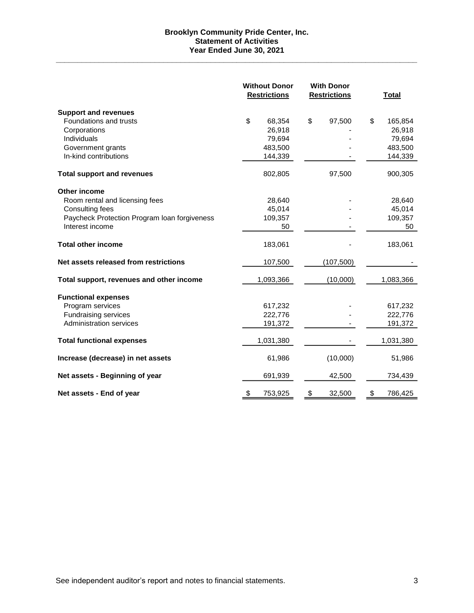## **Brooklyn Community Pride Center, Inc. Statement of Activities Year Ended June 30, 2021**

**\_\_\_\_\_\_\_\_\_\_\_\_\_\_\_\_\_\_\_\_\_\_\_\_\_\_\_\_\_\_\_\_\_\_\_\_\_\_\_\_\_\_\_\_\_\_\_\_\_\_\_\_\_\_\_\_\_\_\_\_\_\_\_\_\_\_\_\_\_\_\_\_\_\_\_\_\_\_\_\_\_\_\_\_**

|                                              | <b>Without Donor</b><br><b>Restrictions</b> | <b>With Donor</b><br><b>Restrictions</b> | <b>Total</b>  |
|----------------------------------------------|---------------------------------------------|------------------------------------------|---------------|
| <b>Support and revenues</b>                  |                                             |                                          |               |
| Foundations and trusts                       | $\mathfrak{S}$<br>68,354                    | \$<br>97,500                             | \$<br>165,854 |
| Corporations                                 | 26,918                                      |                                          | 26,918        |
| Individuals                                  | 79,694                                      |                                          | 79,694        |
| Government grants                            | 483,500                                     |                                          | 483,500       |
| In-kind contributions                        | 144,339                                     |                                          | 144,339       |
| <b>Total support and revenues</b>            | 802,805                                     | 97,500                                   | 900,305       |
| Other income                                 |                                             |                                          |               |
| Room rental and licensing fees               | 28,640                                      |                                          | 28,640        |
| Consulting fees                              | 45,014                                      |                                          | 45,014        |
| Paycheck Protection Program loan forgiveness | 109,357                                     |                                          | 109,357       |
| Interest income                              | 50                                          |                                          | 50            |
| <b>Total other income</b>                    | 183,061                                     |                                          | 183,061       |
| Net assets released from restrictions        | 107,500                                     | (107, 500)                               |               |
| Total support, revenues and other income     | 1,093,366                                   | (10,000)                                 | 1,083,366     |
| <b>Functional expenses</b>                   |                                             |                                          |               |
| Program services                             | 617,232                                     |                                          | 617,232       |
| <b>Fundraising services</b>                  | 222,776                                     |                                          | 222,776       |
| Administration services                      | 191,372                                     |                                          | 191,372       |
| <b>Total functional expenses</b>             | 1,031,380                                   |                                          | 1,031,380     |
| Increase (decrease) in net assets            | 61,986                                      | (10,000)                                 | 51,986        |
| Net assets - Beginning of year               | 691,939                                     | 42,500                                   | 734,439       |
| Net assets - End of year                     | \$<br>753,925                               | \$<br>32,500                             | 786,425<br>\$ |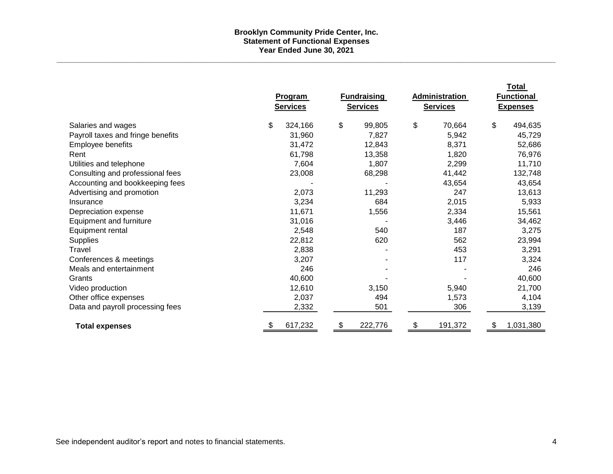### **Brooklyn Community Pride Center, Inc. Statement of Functional Expenses Year Ended June 30, 2021**

**\_\_\_\_\_\_\_\_\_\_\_\_\_\_\_\_\_\_\_\_\_\_\_\_\_\_\_\_\_\_\_\_\_\_\_\_\_\_\_\_\_\_\_\_\_\_\_\_\_\_\_\_\_\_\_\_\_\_\_\_\_\_\_\_\_\_\_\_\_\_\_\_\_\_\_\_\_\_\_\_\_\_\_\_\_\_\_\_\_\_\_\_\_\_\_\_\_\_\_\_\_\_\_\_\_\_\_\_\_\_\_\_\_\_\_\_**

|                                   | <b>Program</b><br><b>Services</b> | <b>Fundraising</b><br><b>Services</b> | Administration<br><b>Services</b> | <b>Total</b><br><b>Functional</b><br><b>Expenses</b> |
|-----------------------------------|-----------------------------------|---------------------------------------|-----------------------------------|------------------------------------------------------|
| Salaries and wages                | \$<br>324,166                     | \$<br>99,805                          | \$<br>70,664                      | \$<br>494,635                                        |
| Payroll taxes and fringe benefits | 31,960                            | 7,827                                 | 5,942                             | 45,729                                               |
| Employee benefits                 | 31,472                            | 12,843                                | 8,371                             | 52,686                                               |
| Rent                              | 61,798                            | 13,358                                | 1,820                             | 76,976                                               |
| Utilities and telephone           | 7,604                             | 1,807                                 | 2,299                             | 11,710                                               |
| Consulting and professional fees  | 23,008                            | 68,298                                | 41,442                            | 132,748                                              |
| Accounting and bookkeeping fees   |                                   |                                       | 43,654                            | 43,654                                               |
| Advertising and promotion         | 2,073                             | 11,293                                | 247                               | 13,613                                               |
| Insurance                         | 3,234                             | 684                                   | 2,015                             | 5,933                                                |
| Depreciation expense              | 11,671                            | 1,556                                 | 2,334                             | 15,561                                               |
| Equipment and furniture           | 31,016                            |                                       | 3,446                             | 34,462                                               |
| Equipment rental                  | 2,548                             | 540                                   | 187                               | 3,275                                                |
| <b>Supplies</b>                   | 22,812                            | 620                                   | 562                               | 23,994                                               |
| Travel                            | 2,838                             |                                       | 453                               | 3,291                                                |
| Conferences & meetings            | 3,207                             |                                       | 117                               | 3,324                                                |
| Meals and entertainment           | 246                               |                                       |                                   | 246                                                  |
| Grants                            | 40,600                            |                                       |                                   | 40,600                                               |
| Video production                  | 12,610                            | 3,150                                 | 5,940                             | 21,700                                               |
| Other office expenses             | 2,037                             | 494                                   | 1,573                             | 4,104                                                |
| Data and payroll processing fees  | 2,332                             | 501                                   | 306                               | 3,139                                                |
| <b>Total expenses</b>             | 617,232                           | 222,776<br>\$                         | \$<br>191,372                     | 1,031,380<br>\$                                      |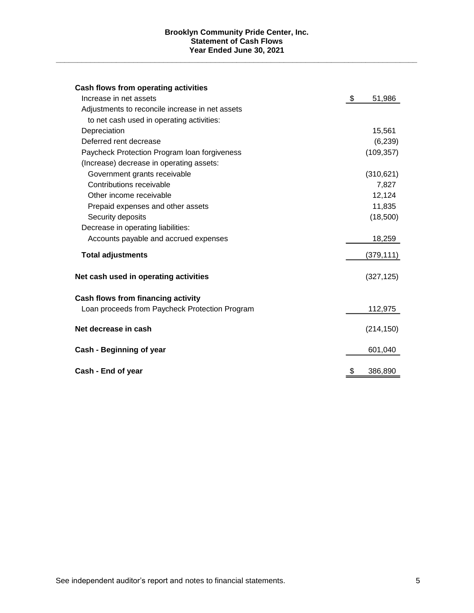| Cash flows from operating activities            |               |
|-------------------------------------------------|---------------|
| Increase in net assets                          | \$<br>51,986  |
| Adjustments to reconcile increase in net assets |               |
| to net cash used in operating activities:       |               |
| Depreciation                                    | 15,561        |
| Deferred rent decrease                          | (6, 239)      |
| Paycheck Protection Program loan forgiveness    | (109, 357)    |
| (Increase) decrease in operating assets:        |               |
| Government grants receivable                    | (310, 621)    |
| Contributions receivable                        | 7,827         |
| Other income receivable                         | 12,124        |
| Prepaid expenses and other assets               | 11,835        |
| Security deposits                               | (18,500)      |
| Decrease in operating liabilities:              |               |
| Accounts payable and accrued expenses           | 18,259        |
| <b>Total adjustments</b>                        | (379,111)     |
| Net cash used in operating activities           | (327, 125)    |
| Cash flows from financing activity              |               |
| Loan proceeds from Paycheck Protection Program  | 112,975       |
| Net decrease in cash                            | (214, 150)    |
| Cash - Beginning of year                        | 601,040       |
| Cash - End of year                              | \$<br>386,890 |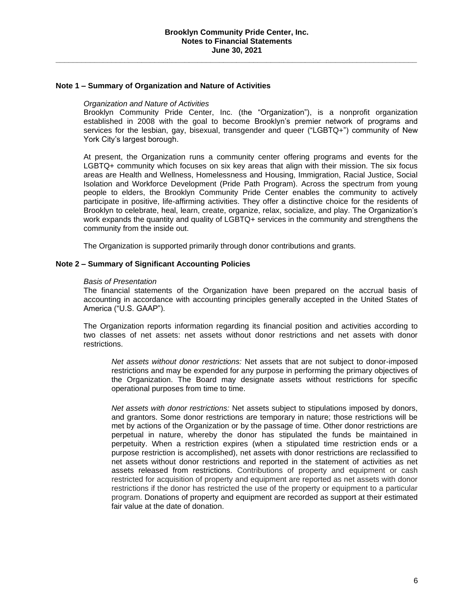#### **Note 1 – Summary of Organization and Nature of Activities**

### *Organization and Nature of Activities*

Brooklyn Community Pride Center, Inc. (the "Organization"), is a nonprofit organization established in 2008 with the goal to become Brooklyn's premier network of programs and services for the lesbian, gay, bisexual, transgender and queer ("LGBTQ+") community of New York City's largest borough.

At present, the Organization runs a community center offering programs and events for the LGBTQ+ community which focuses on six key areas that align with their mission. The six focus areas are Health and Wellness, Homelessness and Housing, Immigration, Racial Justice, Social Isolation and Workforce Development (Pride Path Program). Across the spectrum from young people to elders, the Brooklyn Community Pride Center enables the community to actively participate in positive, life-affirming activities. They offer a distinctive choice for the residents of Brooklyn to celebrate, heal, learn, create, organize, relax, socialize, and play. The Organization's work expands the quantity and quality of LGBTQ+ services in the community and strengthens the community from the inside out.

The Organization is supported primarily through donor contributions and grants.

#### **Note 2 – Summary of Significant Accounting Policies**

#### *Basis of Presentation*

The financial statements of the Organization have been prepared on the accrual basis of accounting in accordance with accounting principles generally accepted in the United States of America ("U.S. GAAP").

The Organization reports information regarding its financial position and activities according to two classes of net assets: net assets without donor restrictions and net assets with donor restrictions.

*Net assets without donor restrictions:* Net assets that are not subject to donor-imposed restrictions and may be expended for any purpose in performing the primary objectives of the Organization. The Board may designate assets without restrictions for specific operational purposes from time to time.

*Net assets with donor restrictions:* Net assets subject to stipulations imposed by donors, and grantors. Some donor restrictions are temporary in nature; those restrictions will be met by actions of the Organization or by the passage of time. Other donor restrictions are perpetual in nature, whereby the donor has stipulated the funds be maintained in perpetuity. When a restriction expires (when a stipulated time restriction ends or a purpose restriction is accomplished), net assets with donor restrictions are reclassified to net assets without donor restrictions and reported in the statement of activities as net assets released from restrictions. Contributions of property and equipment or cash restricted for acquisition of property and equipment are reported as net assets with donor restrictions if the donor has restricted the use of the property or equipment to a particular program. Donations of property and equipment are recorded as support at their estimated fair value at the date of donation.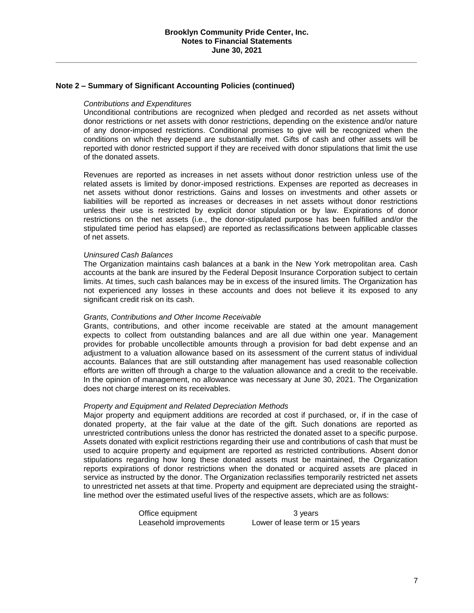### **Note 2 – Summary of Significant Accounting Policies (continued)**

#### *Contributions and Expenditures*

Unconditional contributions are recognized when pledged and recorded as net assets without donor restrictions or net assets with donor restrictions, depending on the existence and/or nature of any donor-imposed restrictions. Conditional promises to give will be recognized when the conditions on which they depend are substantially met. Gifts of cash and other assets will be reported with donor restricted support if they are received with donor stipulations that limit the use of the donated assets.

Revenues are reported as increases in net assets without donor restriction unless use of the related assets is limited by donor-imposed restrictions. Expenses are reported as decreases in net assets without donor restrictions. Gains and losses on investments and other assets or liabilities will be reported as increases or decreases in net assets without donor restrictions unless their use is restricted by explicit donor stipulation or by law. Expirations of donor restrictions on the net assets (i.e., the donor-stipulated purpose has been fulfilled and/or the stipulated time period has elapsed) are reported as reclassifications between applicable classes of net assets.

#### *Uninsured Cash Balances*

The Organization maintains cash balances at a bank in the New York metropolitan area. Cash accounts at the bank are insured by the Federal Deposit Insurance Corporation subject to certain limits. At times, such cash balances may be in excess of the insured limits. The Organization has not experienced any losses in these accounts and does not believe it its exposed to any significant credit risk on its cash.

## *Grants, Contributions and Other Income Receivable*

Grants, contributions, and other income receivable are stated at the amount management expects to collect from outstanding balances and are all due within one year. Management provides for probable uncollectible amounts through a provision for bad debt expense and an adjustment to a valuation allowance based on its assessment of the current status of individual accounts. Balances that are still outstanding after management has used reasonable collection efforts are written off through a charge to the valuation allowance and a credit to the receivable. In the opinion of management, no allowance was necessary at June 30, 2021. The Organization does not charge interest on its receivables.

#### *Property and Equipment and Related Depreciation Methods*

Major property and equipment additions are recorded at cost if purchased, or, if in the case of donated property, at the fair value at the date of the gift. Such donations are reported as unrestricted contributions unless the donor has restricted the donated asset to a specific purpose. Assets donated with explicit restrictions regarding their use and contributions of cash that must be used to acquire property and equipment are reported as restricted contributions. Absent donor stipulations regarding how long these donated assets must be maintained, the Organization reports expirations of donor restrictions when the donated or acquired assets are placed in service as instructed by the donor. The Organization reclassifies temporarily restricted net assets to unrestricted net assets at that time. Property and equipment are depreciated using the straightline method over the estimated useful lives of the respective assets, which are as follows:

Office equipment 3 years

Leasehold improvements Lower of lease term or 15 years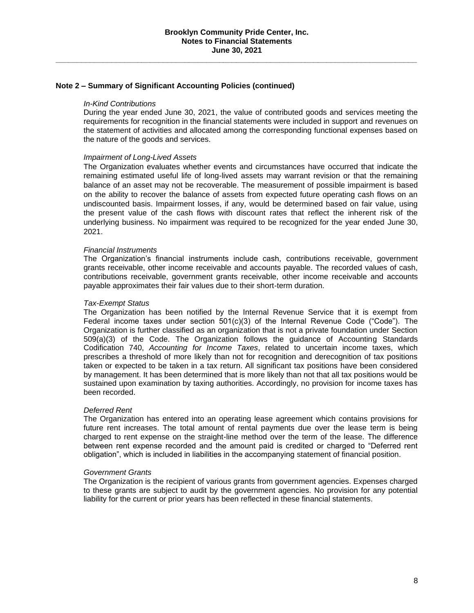## **Note 2 – Summary of Significant Accounting Policies (continued)**

## *In-Kind Contributions*

During the year ended June 30, 2021, the value of contributed goods and services meeting the requirements for recognition in the financial statements were included in support and revenues on the statement of activities and allocated among the corresponding functional expenses based on the nature of the goods and services.

## *Impairment of Long-Lived Assets*

The Organization evaluates whether events and circumstances have occurred that indicate the remaining estimated useful life of long-lived assets may warrant revision or that the remaining balance of an asset may not be recoverable. The measurement of possible impairment is based on the ability to recover the balance of assets from expected future operating cash flows on an undiscounted basis. Impairment losses, if any, would be determined based on fair value, using the present value of the cash flows with discount rates that reflect the inherent risk of the underlying business. No impairment was required to be recognized for the year ended June 30, 2021.

## *Financial Instruments*

The Organization's financial instruments include cash, contributions receivable, government grants receivable, other income receivable and accounts payable. The recorded values of cash, contributions receivable, government grants receivable, other income receivable and accounts payable approximates their fair values due to their short-term duration.

### *Tax-Exempt Status*

The Organization has been notified by the Internal Revenue Service that it is exempt from Federal income taxes under section 501(c)(3) of the Internal Revenue Code ("Code"). The Organization is further classified as an organization that is not a private foundation under Section 509(a)(3) of the Code. The Organization follows the guidance of Accounting Standards Codification 740, *Accounting for Income Taxes*, related to uncertain income taxes, which prescribes a threshold of more likely than not for recognition and derecognition of tax positions taken or expected to be taken in a tax return. All significant tax positions have been considered by management. It has been determined that is more likely than not that all tax positions would be sustained upon examination by taxing authorities. Accordingly, no provision for income taxes has been recorded.

## *Deferred Rent*

The Organization has entered into an operating lease agreement which contains provisions for future rent increases. The total amount of rental payments due over the lease term is being charged to rent expense on the straight-line method over the term of the lease. The difference between rent expense recorded and the amount paid is credited or charged to "Deferred rent obligation", which is included in liabilities in the accompanying statement of financial position.

## *Government Grants*

The Organization is the recipient of various grants from government agencies. Expenses charged to these grants are subject to audit by the government agencies. No provision for any potential liability for the current or prior years has been reflected in these financial statements.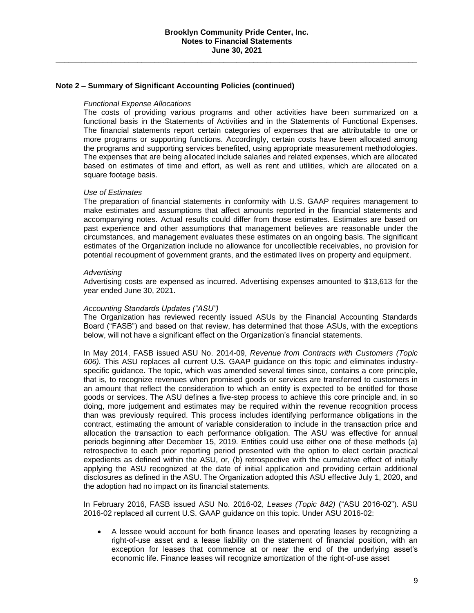### **Note 2 – Summary of Significant Accounting Policies (continued)**

#### *Functional Expense Allocations*

The costs of providing various programs and other activities have been summarized on a functional basis in the Statements of Activities and in the Statements of Functional Expenses. The financial statements report certain categories of expenses that are attributable to one or more programs or supporting functions. Accordingly, certain costs have been allocated among the programs and supporting services benefited, using appropriate measurement methodologies. The expenses that are being allocated include salaries and related expenses, which are allocated based on estimates of time and effort, as well as rent and utilities, which are allocated on a square footage basis.

#### *Use of Estimates*

The preparation of financial statements in conformity with U.S. GAAP requires management to make estimates and assumptions that affect amounts reported in the financial statements and accompanying notes. Actual results could differ from those estimates. Estimates are based on past experience and other assumptions that management believes are reasonable under the circumstances, and management evaluates these estimates on an ongoing basis. The significant estimates of the Organization include no allowance for uncollectible receivables, no provision for potential recoupment of government grants, and the estimated lives on property and equipment.

#### *Advertising*

Advertising costs are expensed as incurred. Advertising expenses amounted to \$13,613 for the year ended June 30, 2021.

#### *Accounting Standards Updates ("ASU")*

The Organization has reviewed recently issued ASUs by the Financial Accounting Standards Board ("FASB") and based on that review, has determined that those ASUs, with the exceptions below, will not have a significant effect on the Organization's financial statements.

In May 2014, FASB issued ASU No. 2014-09, *Revenue from Contracts with Customers (Topic 606).* This ASU replaces all current U.S. GAAP guidance on this topic and eliminates industryspecific guidance. The topic, which was amended several times since, contains a core principle, that is, to recognize revenues when promised goods or services are transferred to customers in an amount that reflect the consideration to which an entity is expected to be entitled for those goods or services. The ASU defines a five-step process to achieve this core principle and, in so doing, more judgement and estimates may be required within the revenue recognition process than was previously required. This process includes identifying performance obligations in the contract, estimating the amount of variable consideration to include in the transaction price and allocation the transaction to each performance obligation. The ASU was effective for annual periods beginning after December 15, 2019. Entities could use either one of these methods (a) retrospective to each prior reporting period presented with the option to elect certain practical expedients as defined within the ASU, or, (b) retrospective with the cumulative effect of initially applying the ASU recognized at the date of initial application and providing certain additional disclosures as defined in the ASU. The Organization adopted this ASU effective July 1, 2020, and the adoption had no impact on its financial statements.

In February 2016, FASB issued ASU No. 2016-02, *Leases (Topic 842)* ("ASU 2016-02"). ASU 2016-02 replaced all current U.S. GAAP guidance on this topic. Under ASU 2016-02:

• A lessee would account for both finance leases and operating leases by recognizing a right-of-use asset and a lease liability on the statement of financial position, with an exception for leases that commence at or near the end of the underlying asset's economic life. Finance leases will recognize amortization of the right-of-use asset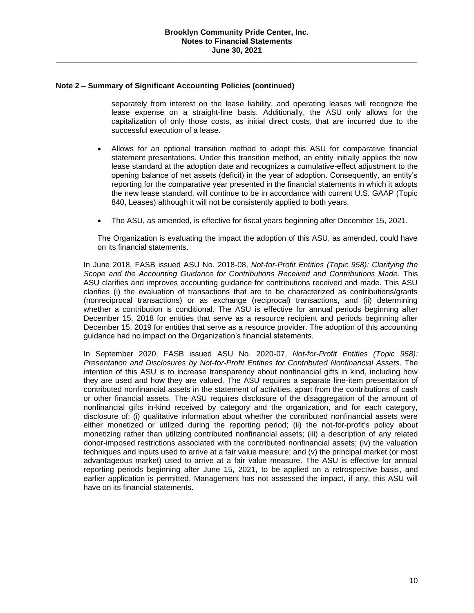## **Note 2 – Summary of Significant Accounting Policies (continued)**

separately from interest on the lease liability, and operating leases will recognize the lease expense on a straight-line basis. Additionally, the ASU only allows for the capitalization of only those costs, as initial direct costs, that are incurred due to the successful execution of a lease.

- Allows for an optional transition method to adopt this ASU for comparative financial statement presentations. Under this transition method, an entity initially applies the new lease standard at the adoption date and recognizes a cumulative-effect adjustment to the opening balance of net assets (deficit) in the year of adoption. Consequently, an entity's reporting for the comparative year presented in the financial statements in which it adopts the new lease standard, will continue to be in accordance with current U.S. GAAP (Topic 840, Leases) although it will not be consistently applied to both years.
- The ASU, as amended, is effective for fiscal years beginning after December 15, 2021.

The Organization is evaluating the impact the adoption of this ASU, as amended, could have on its financial statements.

In June 2018, FASB issued ASU No. 2018-08, *Not-for-Profit Entities (Topic 958): Clarifying the Scope and the Accounting Guidance for Contributions Received and Contributions Made.* This ASU clarifies and improves accounting guidance for contributions received and made. This ASU clarifies (i) the evaluation of transactions that are to be characterized as contributions/grants (nonreciprocal transactions) or as exchange (reciprocal) transactions, and (ii) determining whether a contribution is conditional. The ASU is effective for annual periods beginning after December 15, 2018 for entities that serve as a resource recipient and periods beginning after December 15, 2019 for entities that serve as a resource provider. The adoption of this accounting guidance had no impact on the Organization's financial statements.

In September 2020, FASB issued ASU No. 2020-07, *Not-for-Profit Entities (Topic 958): Presentation and Disclosures by Not-for-Profit Entities for Contributed Nonfinancial Assets*. The intention of this ASU is to increase transparency about nonfinancial gifts in kind, including how they are used and how they are valued. The ASU requires a separate line-item presentation of contributed nonfinancial assets in the statement of activities, apart from the contributions of cash or other financial assets. The ASU requires disclosure of the disaggregation of the amount of nonfinancial gifts in-kind received by category and the organization, and for each category, disclosure of: (i) qualitative information about whether the contributed nonfinancial assets were either monetized or utilized during the reporting period; (ii) the not-for-profit's policy about monetizing rather than utilizing contributed nonfinancial assets; (iii) a description of any related donor-imposed restrictions associated with the contributed nonfinancial assets; (iv) the valuation techniques and inputs used to arrive at a fair value measure; and (v) the principal market (or most advantageous market) used to arrive at a fair value measure. The ASU is effective for annual reporting periods beginning after June 15, 2021, to be applied on a retrospective basis, and earlier application is permitted. Management has not assessed the impact, if any, this ASU will have on its financial statements.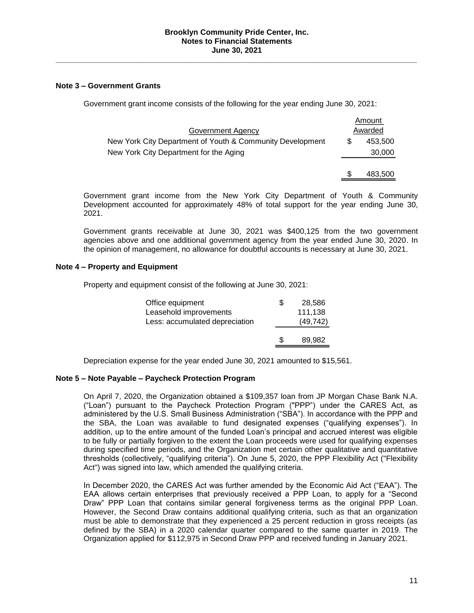## **Note 3 – Government Grants**

Government grant income consists of the following for the year ending June 30, 2021:

|                                                           |   | Amount  |
|-----------------------------------------------------------|---|---------|
| Government Agency                                         |   | Awarded |
| New York City Department of Youth & Community Development | S | 453.500 |
| New York City Department for the Aging                    |   | 30,000  |
|                                                           |   |         |
|                                                           | S | 483,500 |

Government grant income from the New York City Department of Youth & Community Development accounted for approximately 48% of total support for the year ending June 30, 2021.

Government grants receivable at June 30, 2021 was \$400,125 from the two government agencies above and one additional government agency from the year ended June 30, 2020. In the opinion of management, no allowance for doubtful accounts is necessary at June 30, 2021.

## **Note 4 – Property and Equipment**

Property and equipment consist of the following at June 30, 2021:

| Office equipment<br>Leasehold improvements<br>Less: accumulated depreciation | \$. | 28,586<br>111,138<br>(49, 742) |
|------------------------------------------------------------------------------|-----|--------------------------------|
|                                                                              | £.  | 89.982                         |

Depreciation expense for the year ended June 30, 2021 amounted to \$15,561.

## **Note 5 – Note Payable – Paycheck Protection Program**

On April 7, 2020, the Organization obtained a \$109,357 loan from JP Morgan Chase Bank N.A. ("Loan") pursuant to the Paycheck Protection Program ("PPP") under the CARES Act, as administered by the U.S. Small Business Administration ("SBA"). In accordance with the PPP and the SBA, the Loan was available to fund designated expenses ("qualifying expenses"). In addition, up to the entire amount of the funded Loan's principal and accrued interest was eligible to be fully or partially forgiven to the extent the Loan proceeds were used for qualifying expenses during specified time periods, and the Organization met certain other qualitative and quantitative thresholds (collectively, "qualifying criteria"). On June 5, 2020, the PPP Flexibility Act ("Flexibility Act") was signed into law, which amended the qualifying criteria.

In December 2020, the CARES Act was further amended by the Economic Aid Act ("EAA"). The EAA allows certain enterprises that previously received a PPP Loan, to apply for a "Second Draw" PPP Loan that contains similar general forgiveness terms as the original PPP Loan. However, the Second Draw contains additional qualifying criteria, such as that an organization must be able to demonstrate that they experienced a 25 percent reduction in gross receipts (as defined by the SBA) in a 2020 calendar quarter compared to the same quarter in 2019. The Organization applied for \$112,975 in Second Draw PPP and received funding in January 2021.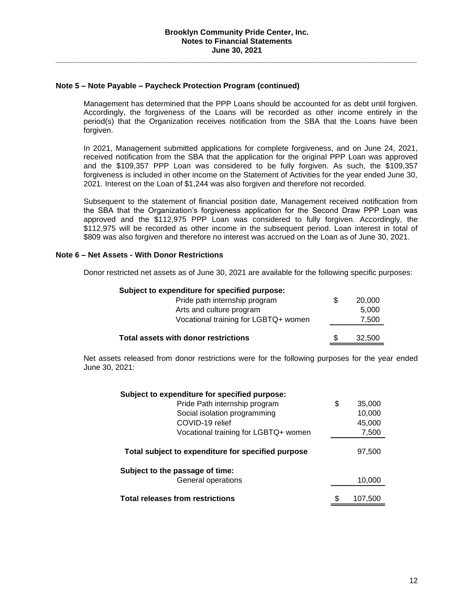### **Note 5 – Note Payable – Paycheck Protection Program (continued)**

Management has determined that the PPP Loans should be accounted for as debt until forgiven. Accordingly, the forgiveness of the Loans will be recorded as other income entirely in the period(s) that the Organization receives notification from the SBA that the Loans have been forgiven.

In 2021, Management submitted applications for complete forgiveness, and on June 24, 2021, received notification from the SBA that the application for the original PPP Loan was approved and the \$109,357 PPP Loan was considered to be fully forgiven. As such, the \$109,357 forgiveness is included in other income on the Statement of Activities for the year ended June 30, 2021. Interest on the Loan of \$1,244 was also forgiven and therefore not recorded.

Subsequent to the statement of financial position date, Management received notification from the SBA that the Organization's forgiveness application for the Second Draw PPP Loan was approved and the \$112,975 PPP Loan was considered to fully forgiven. Accordingly, the \$112,975 will be recorded as other income in the subsequent period. Loan interest in total of \$809 was also forgiven and therefore no interest was accrued on the Loan as of June 30, 2021.

## **Note 6 – Net Assets - With Donor Restrictions**

Donor restricted net assets as of June 30, 2021 are available for the following specific purposes:

## **Subject to expenditure for specified purpose:**

| Pride path internship program               | 20,000 |
|---------------------------------------------|--------|
| Arts and culture program                    | 5.000  |
| Vocational training for LGBTQ+ women        | 7,500  |
| <b>Total assets with donor restrictions</b> | 32.500 |

Net assets released from donor restrictions were for the following purposes for the year ended June 30, 2021:

| Subject to expenditure for specified purpose:      |   |         |
|----------------------------------------------------|---|---------|
| Pride Path internship program                      | S | 35,000  |
| Social isolation programming                       |   | 10,000  |
| COVID-19 relief                                    |   | 45,000  |
| Vocational training for LGBTQ+ women               |   | 7,500   |
| Total subject to expenditure for specified purpose |   | 97,500  |
| Subject to the passage of time:                    |   |         |
| General operations                                 |   | 10,000  |
| <b>Total releases from restrictions</b>            |   | 107.500 |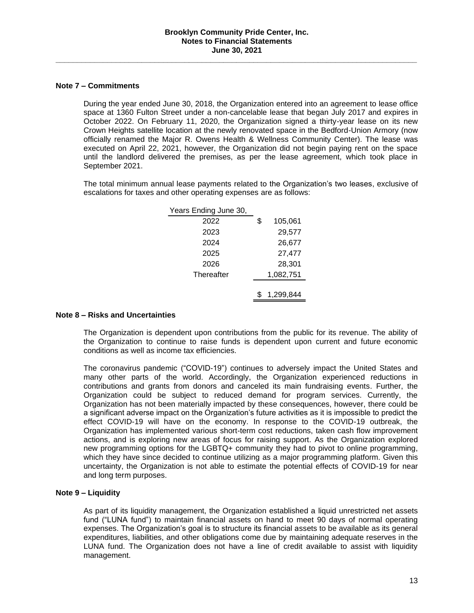## **Note 7 – Commitments**

During the year ended June 30, 2018, the Organization entered into an agreement to lease office space at 1360 Fulton Street under a non-cancelable lease that began July 2017 and expires in October 2022. On February 11, 2020, the Organization signed a thirty-year lease on its new Crown Heights satellite location at the newly renovated space in the Bedford-Union Armory (now officially renamed the Major R. Owens Health & Wellness Community Center). The lease was executed on April 22, 2021, however, the Organization did not begin paying rent on the space until the landlord delivered the premises, as per the lease agreement, which took place in September 2021.

The total minimum annual lease payments related to the Organization's two leases, exclusive of escalations for taxes and other operating expenses are as follows:

| Years Ending June 30, |               |
|-----------------------|---------------|
| 2022                  | \$<br>105,061 |
| 2023                  | 29,577        |
| 2024                  | 26,677        |
| 2025                  | 27,477        |
| 2026                  | 28,301        |
| Thereafter            | 1,082,751     |
|                       |               |
|                       | 1,299,844     |

## **Note 8 – Risks and Uncertainties**

The Organization is dependent upon contributions from the public for its revenue. The ability of the Organization to continue to raise funds is dependent upon current and future economic conditions as well as income tax efficiencies.

The coronavirus pandemic ("COVID-19") continues to adversely impact the United States and many other parts of the world. Accordingly, the Organization experienced reductions in contributions and grants from donors and canceled its main fundraising events. Further, the Organization could be subject to reduced demand for program services. Currently, the Organization has not been materially impacted by these consequences, however, there could be a significant adverse impact on the Organization's future activities as it is impossible to predict the effect COVID-19 will have on the economy. In response to the COVID-19 outbreak, the Organization has implemented various short-term cost reductions, taken cash flow improvement actions, and is exploring new areas of focus for raising support. As the Organization explored new programming options for the LGBTQ+ community they had to pivot to online programming, which they have since decided to continue utilizing as a major programming platform. Given this uncertainty, the Organization is not able to estimate the potential effects of COVID-19 for near and long term purposes.

## **Note 9 – Liquidity**

As part of its liquidity management, the Organization established a liquid unrestricted net assets fund ("LUNA fund") to maintain financial assets on hand to meet 90 days of normal operating expenses. The Organization's goal is to structure its financial assets to be available as its general expenditures, liabilities, and other obligations come due by maintaining adequate reserves in the LUNA fund. The Organization does not have a line of credit available to assist with liquidity management.